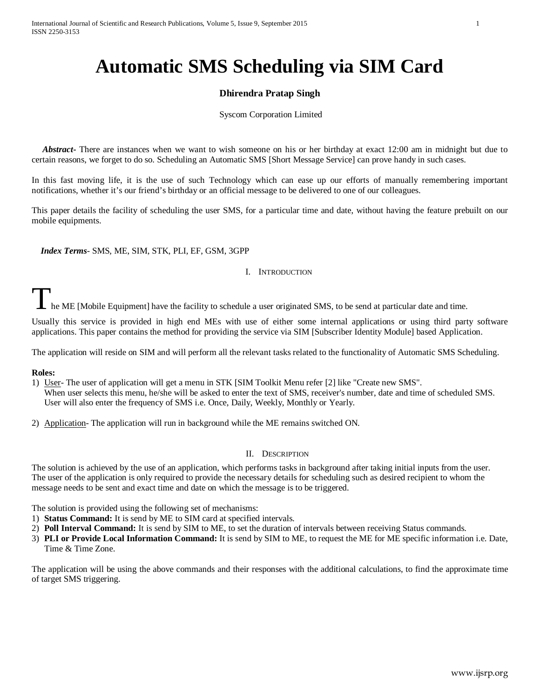# **Automatic SMS Scheduling via SIM Card**

# **Dhirendra Pratap Singh**

Syscom Corporation Limited

 *Abstract***-** There are instances when we want to wish someone on his or her birthday at exact 12:00 am in midnight but due to certain reasons, we forget to do so. Scheduling an Automatic SMS [Short Message Service] can prove handy in such cases.

In this fast moving life, it is the use of such Technology which can ease up our efforts of manually remembering important notifications, whether it's our friend's birthday or an official message to be delivered to one of our colleagues.

This paper details the facility of scheduling the user SMS, for a particular time and date, without having the feature prebuilt on our mobile equipments.

 *Index Terms*- SMS, ME, SIM, STK, PLI, EF, GSM, 3GPP

# I. INTRODUCTION

he ME [Mobile Equipment] have the facility to schedule a user originated SMS, to be send at particular date and time.

Usually this service is provided in high end MEs with use of either some internal applications or using third party software applications. This paper contains the method for providing the service via SIM [Subscriber Identity Module] based Application.

The application will reside on SIM and will perform all the relevant tasks related to the functionality of Automatic SMS Scheduling.

# **Roles:**

1) User- The user of application will get a menu in STK [SIM Toolkit Menu refer [2] like "Create new SMS". When user selects this menu, he/she will be asked to enter the text of SMS, receiver's number, date and time of scheduled SMS. User will also enter the frequency of SMS i.e. Once, Daily, Weekly, Monthly or Yearly.

2) Application- The application will run in background while the ME remains switched ON.

# II. DESCRIPTION

The solution is achieved by the use of an application, which performs tasks in background after taking initial inputs from the user. The user of the application is only required to provide the necessary details for scheduling such as desired recipient to whom the message needs to be sent and exact time and date on which the message is to be triggered.

The solution is provided using the following set of mechanisms:

- 1) **Status Command:** It is send by ME to SIM card at specified intervals.
- 2) **Poll Interval Command:** It is send by SIM to ME, to set the duration of intervals between receiving Status commands.
- 3) **PLI or Provide Local Information Command:** It is send by SIM to ME, to request the ME for ME specific information i.e. Date, Time & Time Zone.

The application will be using the above commands and their responses with the additional calculations, to find the approximate time of target SMS triggering.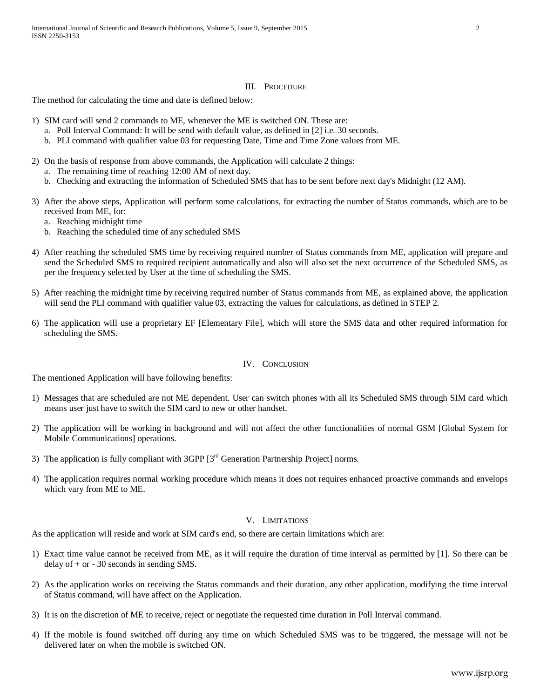#### III. PROCEDURE

The method for calculating the time and date is defined below:

- 1) SIM card will send 2 commands to ME, whenever the ME is switched ON. These are:
	- a. Poll Interval Command: It will be send with default value, as defined in [2] i.e. 30 seconds.
	- b. PLI command with qualifier value 03 for requesting Date, Time and Time Zone values from ME.
- 2) On the basis of response from above commands, the Application will calculate 2 things:
	- a. The remaining time of reaching 12:00 AM of next day.
	- b. Checking and extracting the information of Scheduled SMS that has to be sent before next day's Midnight (12 AM).
- 3) After the above steps, Application will perform some calculations, for extracting the number of Status commands, which are to be received from ME, for:
	- a. Reaching midnight time
	- b. Reaching the scheduled time of any scheduled SMS
- 4) After reaching the scheduled SMS time by receiving required number of Status commands from ME, application will prepare and send the Scheduled SMS to required recipient automatically and also will also set the next occurrence of the Scheduled SMS, as per the frequency selected by User at the time of scheduling the SMS.
- 5) After reaching the midnight time by receiving required number of Status commands from ME, as explained above, the application will send the PLI command with qualifier value 03, extracting the values for calculations, as defined in STEP 2.
- 6) The application will use a proprietary EF [Elementary File], which will store the SMS data and other required information for scheduling the SMS.

# IV. CONCLUSION

The mentioned Application will have following benefits:

- 1) Messages that are scheduled are not ME dependent. User can switch phones with all its Scheduled SMS through SIM card which means user just have to switch the SIM card to new or other handset.
- 2) The application will be working in background and will not affect the other functionalities of normal GSM [Global System for Mobile Communications] operations.
- 3) The application is fully compliant with 3GPP [3<sup>rd</sup> Generation Partnership Project] norms.
- 4) The application requires normal working procedure which means it does not requires enhanced proactive commands and envelops which vary from ME to ME.

# V. LIMITATIONS

As the application will reside and work at SIM card's end, so there are certain limitations which are:

- 1) Exact time value cannot be received from ME, as it will require the duration of time interval as permitted by [1]. So there can be delay of + or - 30 seconds in sending SMS.
- 2) As the application works on receiving the Status commands and their duration, any other application, modifying the time interval of Status command, will have affect on the Application.
- 3) It is on the discretion of ME to receive, reject or negotiate the requested time duration in Poll Interval command.
- 4) If the mobile is found switched off during any time on which Scheduled SMS was to be triggered, the message will not be delivered later on when the mobile is switched ON.